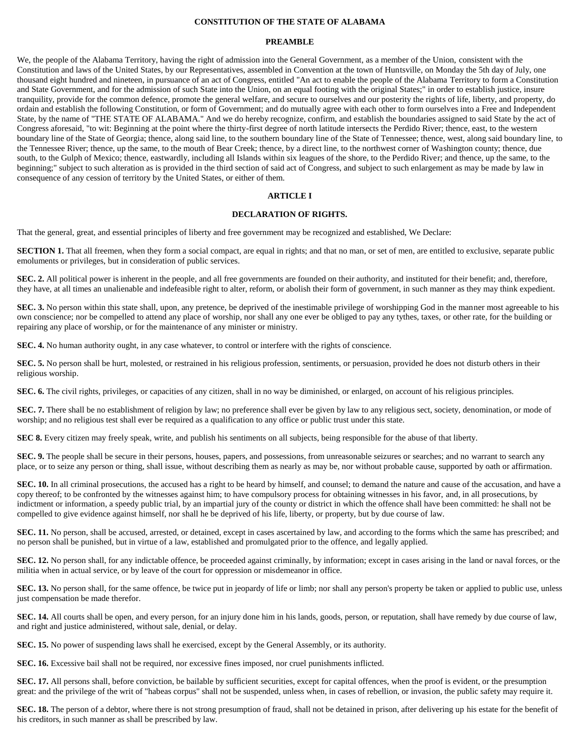# **CONSTITUTION OF THE STATE OF ALABAMA**

# **PREAMBLE**

We, the people of the Alabama Territory, having the right of admission into the General Government, as a member of the Union, consistent with the Constitution and laws of the United States, by our Representatives, assembled in Convention at the town of Huntsville, on Monday the 5th day of July, one thousand eight hundred and nineteen, in pursuance of an act of Congress, entitled "An act to enable the people of the Alabama Territory to form a Constitution and State Government, and for the admission of such State into the Union, on an equal footing with the original States;" in order to establish justice, insure tranquility, provide for the common defence, promote the general welfare, and secure to ourselves and our posterity the rights of life, liberty, and property, do ordain and establish the following Constitution, or form of Government; and do mutually agree with each other to form ourselves into a Free and Independent State, by the name of "THE STATE OF ALABAMA." And we do hereby recognize, confirm, and establish the boundaries assigned to said State by the act of Congress aforesaid, "to wit: Beginning at the point where the thirty-first degree of north latitude intersects the Perdido River; thence, east, to the western boundary line of the State of Georgia; thence, along said line, to the southern boundary line of the State of Tennessee; thence, west, along said boundary line, to the Tennessee River; thence, up the same, to the mouth of Bear Creek; thence, by a direct line, to the northwest corner of Washington county; thence, due south, to the Gulph of Mexico; thence, eastwardly, including all Islands within six leagues of the shore, to the Perdido River; and thence, up the same, to the beginning;" subject to such alteration as is provided in the third section of said act of Congress, and subject to such enlargement as may be made by law in consequence of any cession of territory by the United States, or either of them.

# **ARTICLE I**

# **DECLARATION OF RIGHTS.**

That the general, great, and essential principles of liberty and free government may be recognized and established, We Declare:

**SECTION 1.** That all freemen, when they form a social compact, are equal in rights; and that no man, or set of men, are entitled to exclusive, separate public emoluments or privileges, but in consideration of public services.

**SEC. 2.** All political power is inherent in the people, and all free governments are founded on their authority, and instituted for their benefit; and, therefore, they have, at all times an unalienable and indefeasible right to alter, reform, or abolish their form of government, in such manner as they may think expedient.

**SEC. 3.** No person within this state shall, upon, any pretence, be deprived of the inestimable privilege of worshipping God in the manner most agreeable to his own conscience; nor be compelled to attend any place of worship, nor shall any one ever be obliged to pay any tythes, taxes, or other rate, for the building or repairing any place of worship, or for the maintenance of any minister or ministry.

**SEC. 4.** No human authority ought, in any case whatever, to control or interfere with the rights of conscience.

**SEC. 5.** No person shall be hurt, molested, or restrained in his religious profession, sentiments, or persuasion, provided he does not disturb others in their religious worship.

**SEC. 6.** The civil rights, privileges, or capacities of any citizen, shall in no way be diminished, or enlarged, on account of his religious principles.

**SEC. 7.** There shall be no establishment of religion by law; no preference shall ever be given by law to any religious sect, society, denomination, or mode of worship; and no religious test shall ever be required as a qualification to any office or public trust under this state.

**SEC 8.** Every citizen may freely speak, write, and publish his sentiments on all subjects, being responsible for the abuse of that liberty.

SEC. 9. The people shall be secure in their persons, houses, papers, and possessions, from unreasonable seizures or searches; and no warrant to search any place, or to seize any person or thing, shall issue, without describing them as nearly as may be, nor without probable cause, supported by oath or affirmation.

**SEC. 10.** In all criminal prosecutions, the accused has a right to be heard by himself, and counsel; to demand the nature and cause of the accusation, and have a copy thereof; to be confronted by the witnesses against him; to have compulsory process for obtaining witnesses in his favor, and, in all prosecutions, by indictment or information, a speedy public trial, by an impartial jury of the county or district in which the offence shall have been committed: he shall not be compelled to give evidence against himself, nor shall he be deprived of his life, liberty, or property, but by due course of law.

SEC. 11. No person, shall be accused, arrested, or detained, except in cases ascertained by law, and according to the forms which the same has prescribed; and no person shall be punished, but in virtue of a law, established and promulgated prior to the offence, and legally applied.

**SEC. 12.** No person shall, for any indictable offence, be proceeded against criminally, by information; except in cases arising in the land or naval forces, or the militia when in actual service, or by leave of the court for oppression or misdemeanor in office.

SEC. 13. No person shall, for the same offence, be twice put in jeopardy of life or limb; nor shall any person's property be taken or applied to public use, unless just compensation be made therefor.

**SEC. 14.** All courts shall be open, and every person, for an injury done him in his lands, goods, person, or reputation, shall have remedy by due course of law, and right and justice administered, without sale, denial, or delay.

**SEC. 15.** No power of suspending laws shall he exercised, except by the General Assembly, or its authority.

**SEC. 16.** Excessive bail shall not be required, nor excessive fines imposed, nor cruel punishments inflicted.

**SEC. 17.** All persons shall, before conviction, be bailable by sufficient securities, except for capital offences, when the proof is evident, or the presumption great: and the privilege of the writ of "habeas corpus" shall not be suspended, unless when, in cases of rebellion, or invasion, the public safety may require it.

**SEC. 18.** The person of a debtor, where there is not strong presumption of fraud, shall not be detained in prison, after delivering up his estate for the benefit of his creditors, in such manner as shall be prescribed by law.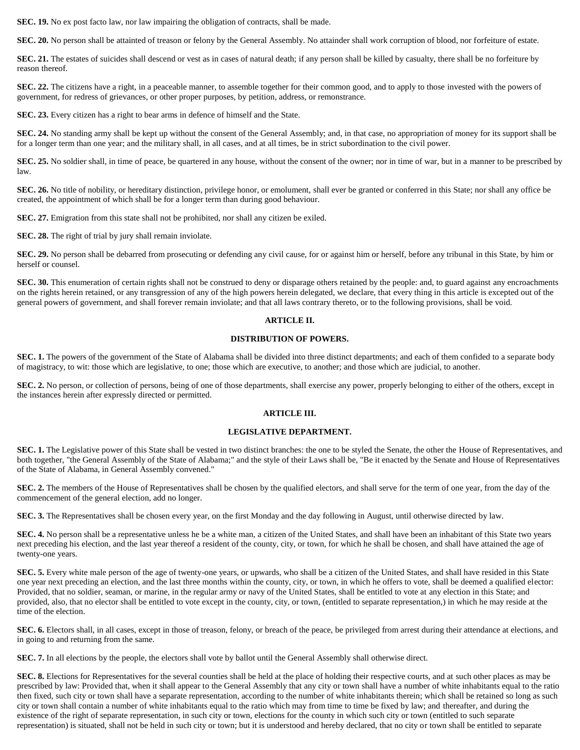**SEC. 19.** No ex post facto law, nor law impairing the obligation of contracts, shall be made.

SEC. 20. No person shall be attainted of treason or felony by the General Assembly. No attainder shall work corruption of blood, nor forfeiture of estate.

SEC. 21. The estates of suicides shall descend or vest as in cases of natural death; if any person shall be killed by casualty, there shall be no forfeiture by reason thereof.

**SEC. 22.** The citizens have a right, in a peaceable manner, to assemble together for their common good, and to apply to those invested with the powers of government, for redress of grievances, or other proper purposes, by petition, address, or remonstrance.

**SEC. 23.** Every citizen has a right to bear arms in defence of himself and the State.

**SEC. 24.** No standing army shall be kept up without the consent of the General Assembly; and, in that case, no appropriation of money for its support shall be for a longer term than one year; and the military shall, in all cases, and at all times, be in strict subordination to the civil power.

SEC. 25. No soldier shall, in time of peace, be quartered in any house, without the consent of the owner; nor in time of war, but in a manner to be prescribed by law.

**SEC. 26.** No title of nobility, or hereditary distinction, privilege honor, or emolument, shall ever be granted or conferred in this State; nor shall any office be created, the appointment of which shall be for a longer term than during good behaviour.

**SEC. 27.** Emigration from this state shall not be prohibited, nor shall any citizen be exiled.

**SEC. 28.** The right of trial by jury shall remain inviolate.

SEC. 29. No person shall be debarred from prosecuting or defending any civil cause, for or against him or herself, before any tribunal in this State, by him or herself or counsel.

**SEC. 30.** This enumeration of certain rights shall not be construed to deny or disparage others retained by the people: and, to guard against any encroachments on the rights herein retained, or any transgression of any of the high powers herein delegated, we declare, that every thing in this article is excepted out of the general powers of government, and shall forever remain inviolate; and that all laws contrary thereto, or to the following provisions, shall be void.

# **ARTICLE II.**

# **DISTRIBUTION OF POWERS.**

**SEC. 1.** The powers of the government of the State of Alabama shall be divided into three distinct departments; and each of them confided to a separate body of magistracy, to wit: those which are legislative, to one; those which are executive, to another; and those which are judicial, to another.

**SEC. 2.** No person, or collection of persons, being of one of those departments, shall exercise any power, properly belonging to either of the others, except in the instances herein after expressly directed or permitted.

# **ARTICLE III.**

#### **LEGISLATIVE DEPARTMENT.**

**SEC. 1.** The Legislative power of this State shall be vested in two distinct branches: the one to be styled the Senate, the other the House of Representatives, and both together, "the General Assembly of the State of Alabama;" and the style of their Laws shall be, "Be it enacted by the Senate and House of Representatives of the State of Alabama, in General Assembly convened."

**SEC. 2.** The members of the House of Representatives shall be chosen by the qualified electors, and shall serve for the term of one year, from the day of the commencement of the general election, add no longer.

**SEC. 3.** The Representatives shall be chosen every year, on the first Monday and the day following in August, until otherwise directed by law.

**SEC. 4.** No person shall be a representative unless he be a white man, a citizen of the United States, and shall have been an inhabitant of this State two years next preceding his election, and the last year thereof a resident of the county, city, or town, for which he shall be chosen, and shall have attained the age of twenty-one years.

**SEC. 5.** Every white male person of the age of twenty-one years, or upwards, who shall be a citizen of the United States, and shall have resided in this State one year next preceding an election, and the last three months within the county, city, or town, in which he offers to vote, shall be deemed a qualified elector: Provided, that no soldier, seaman, or marine, in the regular army or navy of the United States, shall be entitled to vote at any election in this State; and provided, also, that no elector shall be entitled to vote except in the county, city, or town, (entitled to separate representation,) in which he may reside at the time of the election.

**SEC. 6.** Electors shall, in all cases, except in those of treason, felony, or breach of the peace, be privileged from arrest during their attendance at elections, and in going to and returning from the same.

**SEC. 7.** In all elections by the people, the electors shall vote by ballot until the General Assembly shall otherwise direct.

**SEC. 8.** Elections for Representatives for the several counties shall be held at the place of holding their respective courts, and at such other places as may be prescribed by law: Provided that, when it shall appear to the General Assembly that any city or town shall have a number of white inhabitants equal to the ratio then fixed, such city or town shall have a separate representation, according to the number of white inhabitants therein; which shall be retained so long as such city or town shall contain a number of white inhabitants equal to the ratio which may from time to time be fixed by law; and thereafter, and during the existence of the right of separate representation, in such city or town, elections for the county in which such city or town (entitled to such separate representation) is situated, shall not be held in such city or town; but it is understood and hereby declared, that no city or town shall be entitled to separate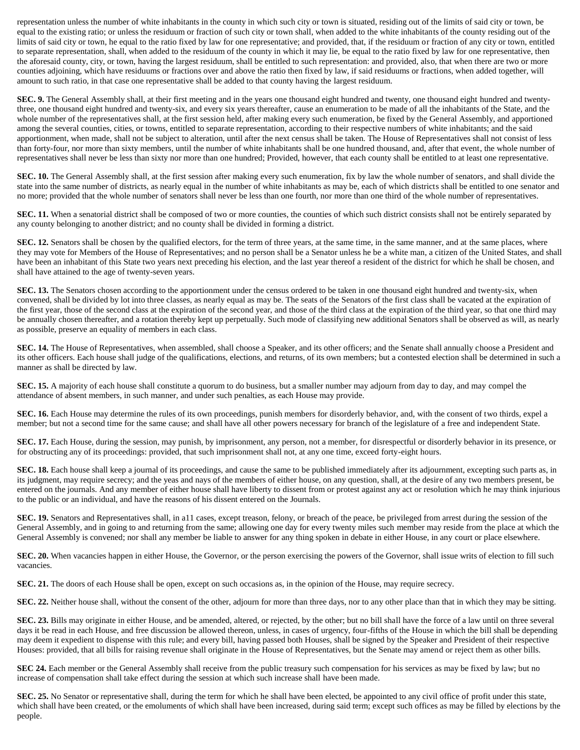representation unless the number of white inhabitants in the county in which such city or town is situated, residing out of the limits of said city or town, be equal to the existing ratio; or unless the residuum or fraction of such city or town shall, when added to the white inhabitants of the county residing out of the limits of said city or town, he equal to the ratio fixed by law for one representative; and provided, that, if the residuum or fraction of any city or town, entitled to separate representation, shall, when added to the residuum of the county in which it may lie, be equal to the ratio fixed by law for one representative, then the aforesaid county, city, or town, having the largest residuum, shall be entitled to such representation: and provided, also, that when there are two or more counties adjoining, which have residuums or fractions over and above the ratio then fixed by law, if said residuums or fractions, when added together, will amount to such ratio, in that case one representative shall be added to that county having the largest residuum.

**SEC. 9.** The General Assembly shall, at their first meeting and in the years one thousand eight hundred and twenty, one thousand eight hundred and twentythree, one thousand eight hundred and twenty-six, and every six years thereafter, cause an enumeration to be made of all the inhabitants of the State, and the whole number of the representatives shall, at the first session held, after making every such enumeration, be fixed by the General Assembly, and apportioned among the several counties, cities, or towns, entitled to separate representation, according to their respective numbers of white inhabitants; and the said apportionment, when made, shall not be subject to alteration, until after the next census shall be taken. The House of Representatives shall not consist of less than forty-four, nor more than sixty members, until the number of white inhabitants shall be one hundred thousand, and, after that event, the whole number of representatives shall never be less than sixty nor more than one hundred; Provided, however, that each county shall be entitled to at least one representative.

**SEC. 10.** The General Assembly shall, at the first session after making every such enumeration, fix by law the whole number of senators, and shall divide the state into the same number of districts, as nearly equal in the number of white inhabitants as may be, each of which districts shall be entitled to one senator and no more; provided that the whole number of senators shall never be less than one fourth, nor more than one third of the whole number of representatives.

**SEC. 11.** When a senatorial district shall be composed of two or more counties, the counties of which such district consists shall not be entirely separated by any county belonging to another district; and no county shall be divided in forming a district.

**SEC. 12.** Senators shall be chosen by the qualified electors, for the term of three years, at the same time, in the same manner, and at the same places, where they may vote for Members of the House of Representatives; and no person shall be a Senator unless he be a white man, a citizen of the United States, and shall have been an inhabitant of this State two years next preceding his election, and the last year thereof a resident of the district for which he shall be chosen, and shall have attained to the age of twenty-seven years.

**SEC. 13.** The Senators chosen according to the apportionment under the census ordered to be taken in one thousand eight hundred and twenty-six, when convened, shall be divided by lot into three classes, as nearly equal as may be. The seats of the Senators of the first class shall be vacated at the expiration of the first year, those of the second class at the expiration of the second year, and those of the third class at the expiration of the third year, so that one third may be annually chosen thereafter, and a rotation thereby kept up perpetually. Such mode of classifying new additional Senators shall be observed as will, as nearly as possible, preserve an equality of members in each class.

**SEC. 14.** The House of Representatives, when assembled, shall choose a Speaker, and its other officers; and the Senate shall annually choose a President and its other officers. Each house shall judge of the qualifications, elections, and returns, of its own members; but a contested election shall be determined in such a manner as shall be directed by law.

**SEC. 15.** A majority of each house shall constitute a quorum to do business, but a smaller number may adjourn from day to day, and may compel the attendance of absent members, in such manner, and under such penalties, as each House may provide.

**SEC. 16.** Each House may determine the rules of its own proceedings, punish members for disorderly behavior, and, with the consent of two thirds, expel a member; but not a second time for the same cause; and shall have all other powers necessary for branch of the legislature of a free and independent State.

**SEC. 17.** Each House, during the session, may punish, by imprisonment, any person, not a member, for disrespectful or disorderly behavior in its presence, or for obstructing any of its proceedings: provided, that such imprisonment shall not, at any one time, exceed forty-eight hours.

**SEC. 18.** Each house shall keep a journal of its proceedings, and cause the same to be published immediately after its adjournment, excepting such parts as, in its judgment, may require secrecy; and the yeas and nays of the members of either house, on any question, shall, at the desire of any two members present, be entered on the journals. And any member of either house shall have liberty to dissent from or protest against any act or resolution which he may think injurious to the public or an individual, and have the reasons of his dissent entered on the Journals.

**SEC. 19.** Senators and Representatives shall, in a11 cases, except treason, felony, or breach of the peace, be privileged from arrest during the session of the General Assembly, and in going to and returning from the same; allowing one day for every twenty miles such member may reside from the place at which the General Assembly is convened; nor shall any member be liable to answer for any thing spoken in debate in either House, in any court or place elsewhere.

**SEC. 20.** When vacancies happen in either House, the Governor, or the person exercising the powers of the Governor, shall issue writs of election to fill such vacancies.

**SEC. 21.** The doors of each House shall be open, except on such occasions as, in the opinion of the House, may require secrecy.

**SEC. 22.** Neither house shall, without the consent of the other, adjourn for more than three days, nor to any other place than that in which they may be sitting.

**SEC. 23.** Bills may originate in either House, and be amended, altered, or rejected, by the other; but no bill shall have the force of a law until on three several days it be read in each House, and free discussion be allowed thereon, unless, in cases of urgency, four-fifths of the House in which the bill shall be depending may deem it expedient to dispense with this rule; and every bill, having passed both Houses, shall be signed by the Speaker and President of their respective Houses: provided, that all bills for raising revenue shall originate in the House of Representatives, but the Senate may amend or reject them as other bills.

SEC 24. Each member or the General Assembly shall receive from the public treasury such compensation for his services as may be fixed by law; but no increase of compensation shall take effect during the session at which such increase shall have been made.

**SEC. 25.** No Senator or representative shall, during the term for which he shall have been elected, be appointed to any civil office of profit under this state, which shall have been created, or the emoluments of which shall have been increased, during said term; except such offices as may be filled by elections by the people.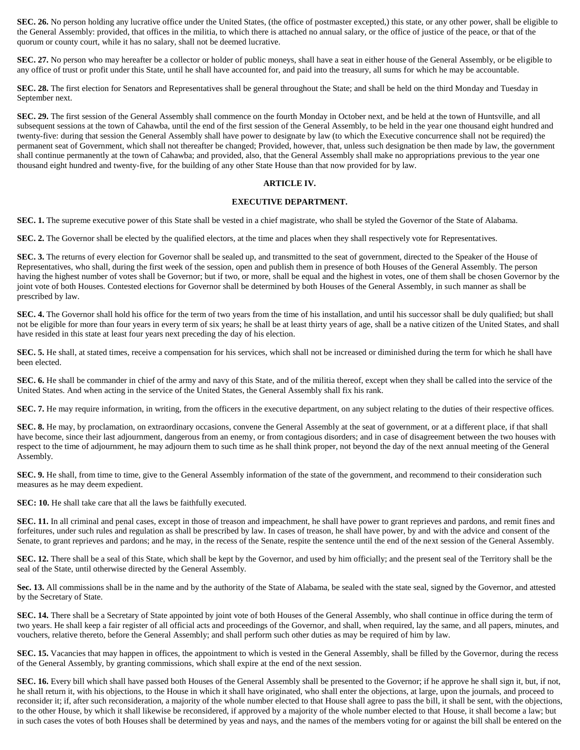**SEC. 26.** No person holding any lucrative office under the United States, (the office of postmaster excepted,) this state, or any other power, shall be eligible to the General Assembly: provided, that offices in the militia, to which there is attached no annual salary, or the office of justice of the peace, or that of the quorum or county court, while it has no salary, shall not be deemed lucrative.

**SEC. 27.** No person who may hereafter be a collector or holder of public moneys, shall have a seat in either house of the General Assembly, or be eligible to any office of trust or profit under this State, until he shall have accounted for, and paid into the treasury, all sums for which he may be accountable.

**SEC. 28.** The first election for Senators and Representatives shall be general throughout the State; and shall be held on the third Monday and Tuesday in September next.

**SEC. 29.** The first session of the General Assembly shall commence on the fourth Monday in October next, and be held at the town of Huntsville, and all subsequent sessions at the town of Cahawba, until the end of the first session of the General Assembly, to be held in the year one thousand eight hundred and twenty-five: during that session the General Assembly shall have power to designate by law (to which the Executive concurrence shall not be required) the permanent seat of Government, which shall not thereafter be changed; Provided, however, that, unless such designation be then made by law, the government shall continue permanently at the town of Cahawba; and provided, also, that the General Assembly shall make no appropriations previous to the year one thousand eight hundred and twenty-five, for the building of any other State House than that now provided for by law.

# **ARTICLE IV.**

# **EXECUTIVE DEPARTMENT.**

**SEC. 1.** The supreme executive power of this State shall be vested in a chief magistrate, who shall be styled the Governor of the State of Alabama.

**SEC. 2.** The Governor shall be elected by the qualified electors, at the time and places when they shall respectively vote for Representatives.

**SEC. 3.** The returns of every election for Governor shall be sealed up, and transmitted to the seat of government, directed to the Speaker of the House of Representatives, who shall, during the first week of the session, open and publish them in presence of both Houses of the General Assembly. The person having the highest number of votes shall be Governor; but if two, or more, shall be equal and the highest in votes, one of them shall be chosen Governor by the joint vote of both Houses. Contested elections for Governor shall be determined by both Houses of the General Assembly, in such manner as shall be prescribed by law.

**SEC. 4.** The Governor shall hold his office for the term of two years from the time of his installation, and until his successor shall be duly qualified; but shall not be eligible for more than four years in every term of six years; he shall be at least thirty years of age, shall be a native citizen of the United States, and shall have resided in this state at least four years next preceding the day of his election.

**SEC. 5.** He shall, at stated times, receive a compensation for his services, which shall not be increased or diminished during the term for which he shall have been elected.

**SEC. 6.** He shall be commander in chief of the army and navy of this State, and of the militia thereof, except when they shall be called into the service of the United States. And when acting in the service of the United States, the General Assembly shall fix his rank.

**SEC. 7.** He may require information, in writing, from the officers in the executive department, on any subject relating to the duties of their respective offices.

**SEC. 8.** He may, by proclamation, on extraordinary occasions, convene the General Assembly at the seat of government, or at a different place, if that shall have become, since their last adjournment, dangerous from an enemy, or from contagious disorders; and in case of disagreement between the two houses with respect to the time of adjournment, he may adjourn them to such time as he shall think proper, not beyond the day of the next annual meeting of the General Assembly.

**SEC. 9.** He shall, from time to time, give to the General Assembly information of the state of the government, and recommend to their consideration such measures as he may deem expedient.

**SEC: 10.** He shall take care that all the laws be faithfully executed.

**SEC. 11.** In all criminal and penal cases, except in those of treason and impeachment, he shall have power to grant reprieves and pardons, and remit fines and forfeitures, under such rules and regulation as shall be prescribed by law. In cases of treason, he shall have power, by and with the advice and consent of the Senate, to grant reprieves and pardons; and he may, in the recess of the Senate, respite the sentence until the end of the next session of the General Assembly.

**SEC. 12.** There shall be a seal of this State, which shall be kept by the Governor, and used by him officially; and the present seal of the Territory shall be the seal of the State, until otherwise directed by the General Assembly.

**Sec. 13.** All commissions shall be in the name and by the authority of the State of Alabama, be sealed with the state seal, signed by the Governor, and attested by the Secretary of State.

**SEC. 14.** There shall be a Secretary of State appointed by joint vote of both Houses of the General Assembly, who shall continue in office during the term of two years. He shall keep a fair register of all official acts and proceedings of the Governor, and shall, when required, lay the same, and all papers, minutes, and vouchers, relative thereto, before the General Assembly; and shall perform such other duties as may be required of him by law.

SEC. 15. Vacancies that may happen in offices, the appointment to which is vested in the General Assembly, shall be filled by the Governor, during the recess of the General Assembly, by granting commissions, which shall expire at the end of the next session.

SEC. 16. Every bill which shall have passed both Houses of the General Assembly shall be presented to the Governor; if he approve he shall sign it, but, if not, he shall return it, with his objections, to the House in which it shall have originated, who shall enter the objections, at large, upon the journals, and proceed to reconsider it; if, after such reconsideration, a majority of the whole number elected to that House shall agree to pass the bill, it shall be sent, with the objections, to the other House, by which it shall likewise be reconsidered, if approved by a majority of the whole number elected to that House, it shall become a law; but in such cases the votes of both Houses shall be determined by yeas and nays, and the names of the members voting for or against the bill shall be entered on the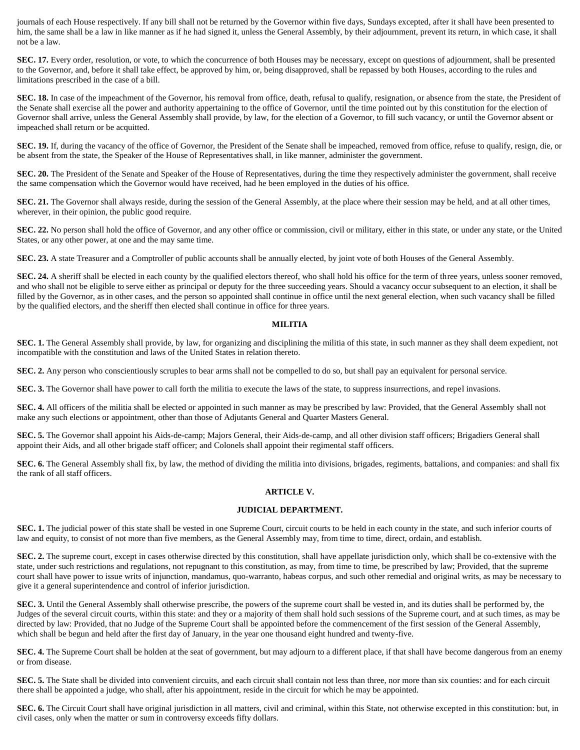journals of each House respectively. If any bill shall not be returned by the Governor within five days, Sundays excepted, after it shall have been presented to him, the same shall be a law in like manner as if he had signed it, unless the General Assembly, by their adjournment, prevent its return, in which case, it shall not be a law.

**SEC. 17.** Every order, resolution, or vote, to which the concurrence of both Houses may be necessary, except on questions of adjournment, shall be presented to the Governor, and, before it shall take effect, be approved by him, or, being disapproved, shall be repassed by both Houses, according to the rules and limitations prescribed in the case of a bill.

**SEC. 18.** In case of the impeachment of the Governor, his removal from office, death, refusal to qualify, resignation, or absence from the state, the President of the Senate shall exercise all the power and authority appertaining to the office of Governor, until the time pointed out by this constitution for the election of Governor shall arrive, unless the General Assembly shall provide, by law, for the election of a Governor, to fill such vacancy, or until the Governor absent or impeached shall return or be acquitted.

**SEC. 19.** If, during the vacancy of the office of Governor, the President of the Senate shall be impeached, removed from office, refuse to qualify, resign, die, or be absent from the state, the Speaker of the House of Representatives shall, in like manner, administer the government.

**SEC. 20.** The President of the Senate and Speaker of the House of Representatives, during the time they respectively administer the government, shall receive the same compensation which the Governor would have received, had he been employed in the duties of his office.

SEC. 21. The Governor shall always reside, during the session of the General Assembly, at the place where their session may be held, and at all other times, wherever, in their opinion, the public good require.

**SEC. 22.** No person shall hold the office of Governor, and any other office or commission, civil or military, either in this state, or under any state, or the United States, or any other power, at one and the may same time.

**SEC. 23.** A state Treasurer and a Comptroller of public accounts shall be annually elected, by joint vote of both Houses of the General Assembly.

**SEC. 24.** A sheriff shall be elected in each county by the qualified electors thereof, who shall hold his office for the term of three years, unless sooner removed, and who shall not be eligible to serve either as principal or deputy for the three succeeding years. Should a vacancy occur subsequent to an election, it shall be filled by the Governor, as in other cases, and the person so appointed shall continue in office until the next general election, when such vacancy shall be filled by the qualified electors, and the sheriff then elected shall continue in office for three years.

# **MILITIA**

**SEC. 1.** The General Assembly shall provide, by law, for organizing and disciplining the militia of this state, in such manner as they shall deem expedient, not incompatible with the constitution and laws of the United States in relation thereto.

**SEC. 2.** Any person who conscientiously scruples to bear arms shall not be compelled to do so, but shall pay an equivalent for personal service.

**SEC. 3.** The Governor shall have power to call forth the militia to execute the laws of the state, to suppress insurrections, and repel invasions.

**SEC. 4.** All officers of the militia shall be elected or appointed in such manner as may be prescribed by law: Provided, that the General Assembly shall not make any such elections or appointment, other than those of Adjutants General and Quarter Masters General.

**SEC. 5.** The Governor shall appoint his Aids-de-camp; Majors General, their Aids-de-camp, and all other division staff officers; Brigadiers General shall appoint their Aids, and all other brigade staff officer; and Colonels shall appoint their regimental staff officers.

**SEC. 6.** The General Assembly shall fix, by law, the method of dividing the militia into divisions, brigades, regiments, battalions, and companies: and shall fix the rank of all staff officers.

# **ARTICLE V.**

# **JUDICIAL DEPARTMENT.**

SEC. 1. The judicial power of this state shall be vested in one Supreme Court, circuit courts to be held in each county in the state, and such inferior courts of law and equity, to consist of not more than five members, as the General Assembly may, from time to time, direct, ordain, and establish.

**SEC. 2.** The supreme court, except in cases otherwise directed by this constitution, shall have appellate jurisdiction only, which shall be co-extensive with the state, under such restrictions and regulations, not repugnant to this constitution, as may, from time to time, be prescribed by law; Provided, that the supreme court shall have power to issue writs of injunction, mandamus, quo-warranto, habeas corpus, and such other remedial and original writs, as may be necessary to give it a general superintendence and control of inferior jurisdiction.

**SEC. 3.** Until the General Assembly shall otherwise prescribe, the powers of the supreme court shall be vested in, and its duties shall be performed by, the Judges of the several circuit courts, within this state: and they or a majority of them shall hold such sessions of the Supreme court, and at such times, as may be directed by law: Provided, that no Judge of the Supreme Court shall be appointed before the commencement of the first session of the General Assembly, which shall be begun and held after the first day of January, in the year one thousand eight hundred and twenty-five.

**SEC. 4.** The Supreme Court shall be holden at the seat of government, but may adjourn to a different place, if that shall have become dangerous from an enemy or from disease.

**SEC. 5.** The State shall be divided into convenient circuits, and each circuit shall contain not less than three, nor more than six counties: and for each circuit there shall be appointed a judge, who shall, after his appointment, reside in the circuit for which he may be appointed.

**SEC. 6.** The Circuit Court shall have original jurisdiction in all matters, civil and criminal, within this State, not otherwise excepted in this constitution: but, in civil cases, only when the matter or sum in controversy exceeds fifty dollars.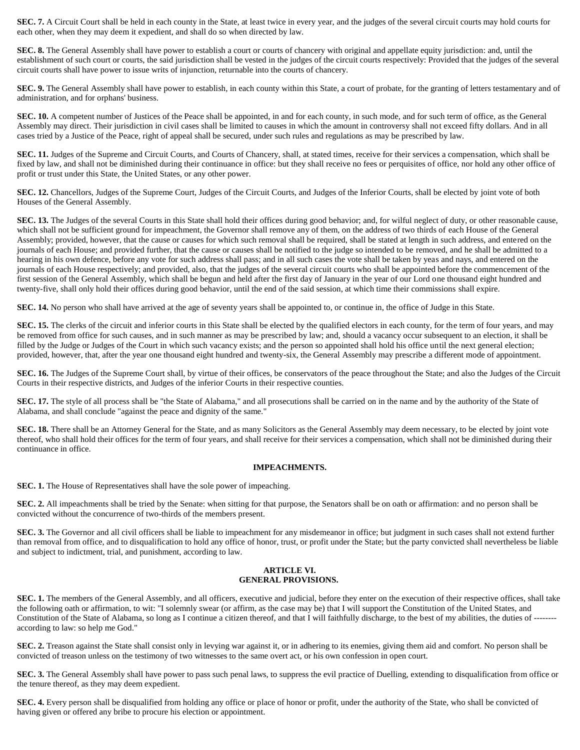**SEC. 7.** A Circuit Court shall be held in each county in the State, at least twice in every year, and the judges of the several circuit courts may hold courts for each other, when they may deem it expedient, and shall do so when directed by law.

**SEC. 8.** The General Assembly shall have power to establish a court or courts of chancery with original and appellate equity jurisdiction: and, until the establishment of such court or courts, the said jurisdiction shall be vested in the judges of the circuit courts respectively: Provided that the judges of the several circuit courts shall have power to issue writs of injunction, returnable into the courts of chancery.

SEC. 9. The General Assembly shall have power to establish, in each county within this State, a court of probate, for the granting of letters testamentary and of administration, and for orphans' business.

**SEC. 10.** A competent number of Justices of the Peace shall be appointed, in and for each county, in such mode, and for such term of office, as the General Assembly may direct. Their jurisdiction in civil cases shall be limited to causes in which the amount in controversy shall not exceed fifty dollars. And in all cases tried by a Justice of the Peace, right of appeal shall be secured, under such rules and regulations as may be prescribed by law.

**SEC. 11.** Judges of the Supreme and Circuit Courts, and Courts of Chancery, shall, at stated times, receive for their services a compensation, which shall be fixed by law, and shall not be diminished during their continuance in office: but they shall receive no fees or perquisites of office, nor hold any other office of profit or trust under this State, the United States, or any other power.

**SEC. 12.** Chancellors, Judges of the Supreme Court, Judges of the Circuit Courts, and Judges of the Inferior Courts, shall be elected by joint vote of both Houses of the General Assembly.

**SEC. 13.** The Judges of the several Courts in this State shall hold their offices during good behavior; and, for wilful neglect of duty, or other reasonable cause, which shall not be sufficient ground for impeachment, the Governor shall remove any of them, on the address of two thirds of each House of the General Assembly; provided, however, that the cause or causes for which such removal shall be required, shall be stated at length in such address, and entered on the journals of each House; and provided further, that the cause or causes shall be notified to the judge so intended to be removed, and he shall be admitted to a hearing in his own defence, before any vote for such address shall pass; and in all such cases the vote shall be taken by yeas and nays, and entered on the journals of each House respectively; and provided, also, that the judges of the several circuit courts who shall be appointed before the commencement of the first session of the General Assembly, which shall be begun and held after the first day of January in the year of our Lord one thousand eight hundred and twenty-five, shall only hold their offices during good behavior, until the end of the said session, at which time their commissions shall expire.

**SEC. 14.** No person who shall have arrived at the age of seventy years shall be appointed to, or continue in, the office of Judge in this State.

**SEC. 15.** The clerks of the circuit and inferior courts in this State shall be elected by the qualified electors in each county, for the term of four years, and may be removed from office for such causes, and in such manner as may be prescribed by law; and, should a vacancy occur subsequent to an election, it shall be filled by the Judge or Judges of the Court in which such vacancy exists; and the person so appointed shall hold his office until the next general election; provided, however, that, after the year one thousand eight hundred and twenty-six, the General Assembly may prescribe a different mode of appointment.

**SEC. 16.** The Judges of the Supreme Court shall, by virtue of their offices, be conservators of the peace throughout the State; and also the Judges of the Circuit Courts in their respective districts, and Judges of the inferior Courts in their respective counties.

**SEC. 17.** The style of all process shall be "the State of Alabama," and all prosecutions shall be carried on in the name and by the authority of the State of Alabama, and shall conclude "against the peace and dignity of the same."

**SEC. 18.** There shall be an Attorney General for the State, and as many Solicitors as the General Assembly may deem necessary, to be elected by joint vote thereof, who shall hold their offices for the term of four years, and shall receive for their services a compensation, which shall not be diminished during their continuance in office.

# **IMPEACHMENTS.**

**SEC. 1.** The House of Representatives shall have the sole power of impeaching.

**SEC. 2.** All impeachments shall be tried by the Senate: when sitting for that purpose, the Senators shall be on oath or affirmation: and no person shall be convicted without the concurrence of two-thirds of the members present.

**SEC. 3.** The Governor and all civil officers shall be liable to impeachment for any misdemeanor in office; but judgment in such cases shall not extend further than removal from office, and to disqualification to hold any office of honor, trust, or profit under the State; but the party convicted shall nevertheless be liable and subject to indictment, trial, and punishment, according to law.

#### **ARTICLE VI. GENERAL PROVISIONS.**

**SEC. 1.** The members of the General Assembly, and all officers, executive and judicial, before they enter on the execution of their respective offices, shall take the following oath or affirmation, to wit: "I solemnly swear (or affirm, as the case may be) that I will support the Constitution of the United States, and Constitution of the State of Alabama, so long as I continue a citizen thereof, and that I will faithfully discharge, to the best of my abilities, the duties of ------according to law: so help me God."

**SEC. 2.** Treason against the State shall consist only in levying war against it, or in adhering to its enemies, giving them aid and comfort. No person shall be convicted of treason unless on the testimony of two witnesses to the same overt act, or his own confession in open court.

**SEC. 3.** The General Assembly shall have power to pass such penal laws, to suppress the evil practice of Duelling, extending to disqualification from office or the tenure thereof, as they may deem expedient.

**SEC. 4.** Every person shall be disqualified from holding any office or place of honor or profit, under the authority of the State, who shall be convicted of having given or offered any bribe to procure his election or appointment.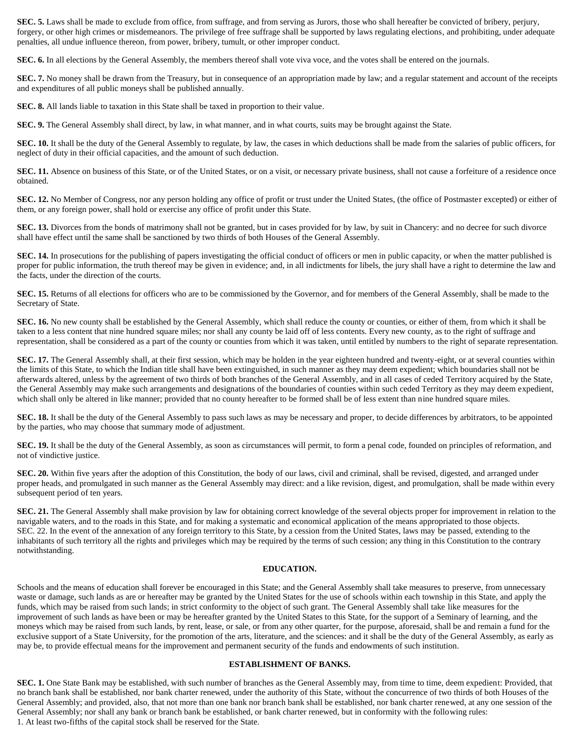**SEC. 5.** Laws shall be made to exclude from office, from suffrage, and from serving as Jurors, those who shall hereafter be convicted of bribery, perjury, forgery, or other high crimes or misdemeanors. The privilege of free suffrage shall be supported by laws regulating elections, and prohibiting, under adequate penalties, all undue influence thereon, from power, bribery, tumult, or other improper conduct.

**SEC. 6.** In all elections by the General Assembly, the members thereof shall vote viva voce, and the votes shall be entered on the journals.

**SEC. 7.** No money shall be drawn from the Treasury, but in consequence of an appropriation made by law; and a regular statement and account of the receipts and expenditures of all public moneys shall be published annually.

**SEC. 8.** All lands liable to taxation in this State shall be taxed in proportion to their value.

**SEC. 9.** The General Assembly shall direct, by law, in what manner, and in what courts, suits may be brought against the State.

**SEC. 10.** It shall be the duty of the General Assembly to regulate, by law, the cases in which deductions shall be made from the salaries of public officers, for neglect of duty in their official capacities, and the amount of such deduction.

SEC. 11. Absence on business of this State, or of the United States, or on a visit, or necessary private business, shall not cause a forfeiture of a residence once obtained.

SEC. 12. No Member of Congress, nor any person holding any office of profit or trust under the United States, (the office of Postmaster excepted) or either of them, or any foreign power, shall hold or exercise any office of profit under this State.

**SEC. 13.** Divorces from the bonds of matrimony shall not be granted, but in cases provided for by law, by suit in Chancery: and no decree for such divorce shall have effect until the same shall be sanctioned by two thirds of both Houses of the General Assembly.

**SEC. 14.** In prosecutions for the publishing of papers investigating the official conduct of officers or men in public capacity, or when the matter published is proper for public information, the truth thereof may be given in evidence; and, in all indictments for libels, the jury shall have a right to determine the law and the facts, under the direction of the courts.

**SEC. 15.** Returns of all elections for officers who are to be commissioned by the Governor, and for members of the General Assembly, shall be made to the Secretary of State.

**SEC. 16.** No new county shall be established by the General Assembly, which shall reduce the county or counties, or either of them, from which it shall be taken to a less content that nine hundred square miles; nor shall any county be laid off of less contents. Every new county, as to the right of suffrage and representation, shall be considered as a part of the county or counties from which it was taken, until entitled by numbers to the right of separate representation.

**SEC. 17.** The General Assembly shall, at their first session, which may be holden in the year eighteen hundred and twenty-eight, or at several counties within the limits of this State, to which the Indian title shall have been extinguished, in such manner as they may deem expedient; which boundaries shall not be afterwards altered, unless by the agreement of two thirds of both branches of the General Assembly, and in all cases of ceded Territory acquired by the State, the General Assembly may make such arrangements and designations of the boundaries of counties within such ceded Territory as they may deem expedient, which shall only be altered in like manner; provided that no county hereafter to be formed shall be of less extent than nine hundred square miles.

**SEC. 18.** It shall be the duty of the General Assembly to pass such laws as may be necessary and proper, to decide differences by arbitrators, to be appointed by the parties, who may choose that summary mode of adjustment.

**SEC. 19.** It shall be the duty of the General Assembly, as soon as circumstances will permit, to form a penal code, founded on principles of reformation, and not of vindictive justice.

**SEC. 20.** Within five years after the adoption of this Constitution, the body of our laws, civil and criminal, shall be revised, digested, and arranged under proper heads, and promulgated in such manner as the General Assembly may direct: and a like revision, digest, and promulgation, shall be made within every subsequent period of ten years.

**SEC. 21.** The General Assembly shall make provision by law for obtaining correct knowledge of the several objects proper for improvement in relation to the navigable waters, and to the roads in this State, and for making a systematic and economical application of the means appropriated to those objects. SEC. 22. In the event of the annexation of any foreign territory to this State, by a cession from the United States, laws may be passed, extending to the inhabitants of such territory all the rights and privileges which may be required by the terms of such cession; any thing in this Constitution to the contrary notwithstanding.

# **EDUCATION.**

Schools and the means of education shall forever be encouraged in this State; and the General Assembly shall take measures to preserve, from unnecessary waste or damage, such lands as are or hereafter may be granted by the United States for the use of schools within each township in this State, and apply the funds, which may be raised from such lands; in strict conformity to the object of such grant. The General Assembly shall take like measures for the improvement of such lands as have been or may be hereafter granted by the United States to this State, for the support of a Seminary of learning, and the moneys which may be raised from such lands, by rent, lease, or sale, or from any other quarter, for the purpose, aforesaid, shall be and remain a fund for the exclusive support of a State University, for the promotion of the arts, literature, and the sciences: and it shall be the duty of the General Assembly, as early as may be, to provide effectual means for the improvement and permanent security of the funds and endowments of such institution.

#### **ESTABLISHMENT OF BANKS.**

**SEC. 1.** One State Bank may be established, with such number of branches as the General Assembly may, from time to time, deem expedient: Provided, that no branch bank shall be established, nor bank charter renewed, under the authority of this State, without the concurrence of two thirds of both Houses of the General Assembly; and provided, also, that not more than one bank nor branch bank shall be established, nor bank charter renewed, at any one session of the General Assembly; nor shall any bank or branch bank be established, or bank charter renewed, but in conformity with the following rules: 1. At least two-fifths of the capital stock shall be reserved for the State.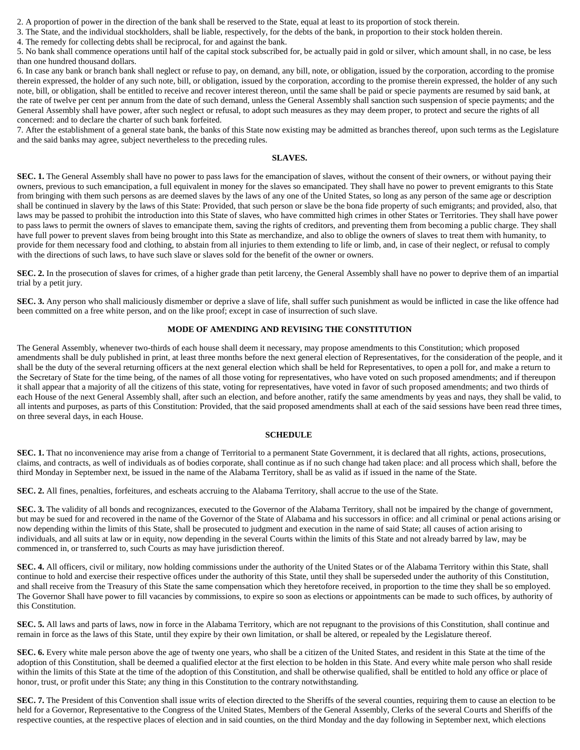2. A proportion of power in the direction of the bank shall be reserved to the State, equal at least to its proportion of stock therein.

3. The State, and the individual stockholders, shall be liable, respectively, for the debts of the bank, in proportion to their stock holden therein.

4. The remedy for collecting debts shall be reciprocal, for and against the bank.

5. No bank shall commence operations until half of the capital stock subscribed for, be actually paid in gold or silver, which amount shall, in no case, be less than one hundred thousand dollars.

6. In case any bank or branch bank shall neglect or refuse to pay, on demand, any bill, note, or obligation, issued by the corporation, according to the promise therein expressed, the holder of any such note, bill, or obligation, issued by the corporation, according to the promise therein expressed, the holder of any such note, bill, or obligation, shall be entitled to receive and recover interest thereon, until the same shall be paid or specie payments are resumed by said bank, at the rate of twelve per cent per annum from the date of such demand, unless the General Assembly shall sanction such suspension of specie payments; and the General Assembly shall have power, after such neglect or refusal, to adopt such measures as they may deem proper, to protect and secure the rights of all concerned: and to declare the charter of such bank forfeited.

7. After the establishment of a general state bank, the banks of this State now existing may be admitted as branches thereof, upon such terms as the Legislature and the said banks may agree, subject nevertheless to the preceding rules.

# **SLAVES.**

**SEC. 1.** The General Assembly shall have no power to pass laws for the emancipation of slaves, without the consent of their owners, or without paying their owners, previous to such emancipation, a full equivalent in money for the slaves so emancipated. They shall have no power to prevent emigrants to this State from bringing with them such persons as are deemed slaves by the laws of any one of the United States, so long as any person of the same age or description shall be continued in slavery by the laws of this State: Provided, that such person or slave be the bona fide property of such emigrants; and provided, also, that laws may be passed to prohibit the introduction into this State of slaves, who have committed high crimes in other States or Territories. They shall have power to pass laws to permit the owners of slaves to emancipate them, saving the rights of creditors, and preventing them from becoming a public charge. They shall have full power to prevent slaves from being brought into this State as merchandize, and also to oblige the owners of slaves to treat them with humanity, to provide for them necessary food and clothing, to abstain from all injuries to them extending to life or limb, and, in case of their neglect, or refusal to comply with the directions of such laws, to have such slave or slaves sold for the benefit of the owner or owners.

**SEC. 2.** In the prosecution of slaves for crimes, of a higher grade than petit larceny, the General Assembly shall have no power to deprive them of an impartial trial by a petit jury.

**SEC. 3.** Any person who shall maliciously dismember or deprive a slave of life, shall suffer such punishment as would be inflicted in case the like offence had been committed on a free white person, and on the like proof; except in case of insurrection of such slave.

# **MODE OF AMENDING AND REVISING THE CONSTITUTION**

The General Assembly, whenever two-thirds of each house shall deem it necessary, may propose amendments to this Constitution; which proposed amendments shall be duly published in print, at least three months before the next general election of Representatives, for the consideration of the people, and it shall be the duty of the several returning officers at the next general election which shall be held for Representatives, to open a poll for, and make a return to the Secretary of State for the time being, of the names of all those voting for representatives, who have voted on such proposed amendments; and if thereupon it shall appear that a majority of all the citizens of this state, voting for representatives, have voted in favor of such proposed amendments; and two thirds of each House of the next General Assembly shall, after such an election, and before another, ratify the same amendments by yeas and nays, they shall be valid, to all intents and purposes, as parts of this Constitution: Provided, that the said proposed amendments shall at each of the said sessions have been read three times, on three several days, in each House.

# **SCHEDULE**

**SEC. 1.** That no inconvenience may arise from a change of Territorial to a permanent State Government, it is declared that all rights, actions, prosecutions, claims, and contracts, as well of individuals as of bodies corporate, shall continue as if no such change had taken place: and all process which shall, before the third Monday in September next, be issued in the name of the Alabama Territory, shall be as valid as if issued in the name of the State.

**SEC. 2.** All fines, penalties, forfeitures, and escheats accruing to the Alabama Territory, shall accrue to the use of the State.

**SEC. 3.** The validity of all bonds and recognizances, executed to the Governor of the Alabama Territory, shall not be impaired by the change of government, but may be sued for and recovered in the name of the Governor of the State of Alabama and his successors in office: and all criminal or penal actions arising or now depending within the limits of this State, shall be prosecuted to judgment and execution in the name of said State; all causes of action arising to individuals, and all suits at law or in equity, now depending in the several Courts within the limits of this State and not already barred by law, may be commenced in, or transferred to, such Courts as may have jurisdiction thereof.

**SEC. 4.** All officers, civil or military, now holding commissions under the authority of the United States or of the Alabama Territory within this State, shall continue to hold and exercise their respective offices under the authority of this State, until they shall be superseded under the authority of this Constitution, and shall receive from the Treasury of this State the same compensation which they heretofore received, in proportion to the time they shall be so employed. The Governor Shall have power to fill vacancies by commissions, to expire so soon as elections or appointments can be made to such offices, by authority of this Constitution.

**SEC. 5.** All laws and parts of laws, now in force in the Alabama Territory, which are not repugnant to the provisions of this Constitution, shall continue and remain in force as the laws of this State, until they expire by their own limitation, or shall be altered, or repealed by the Legislature thereof.

**SEC. 6.** Every white male person above the age of twenty one years, who shall be a citizen of the United States, and resident in this State at the time of the adoption of this Constitution, shall be deemed a qualified elector at the first election to be holden in this State. And every white male person who shall reside within the limits of this State at the time of the adoption of this Constitution, and shall be otherwise qualified, shall be entitled to hold any office or place of honor, trust, or profit under this State; any thing in this Constitution to the contrary notwithstanding.

**SEC. 7.** The President of this Convention shall issue writs of election directed to the Sheriffs of the several counties, requiring them to cause an election to be held for a Governor, Representative to the Congress of the United States, Members of the General Assembly, Clerks of the several Courts and Sheriffs of the respective counties, at the respective places of election and in said counties, on the third Monday and the day following in September next, which elections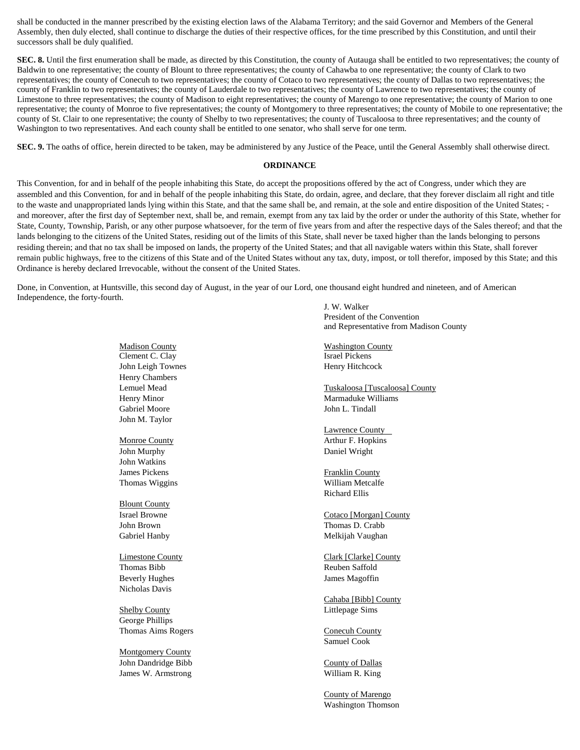shall be conducted in the manner prescribed by the existing election laws of the Alabama Territory; and the said Governor and Members of the General Assembly, then duly elected, shall continue to discharge the duties of their respective offices, for the time prescribed by this Constitution, and until their successors shall be duly qualified.

**SEC. 8.** Until the first enumeration shall be made, as directed by this Constitution, the county of Autauga shall be entitled to two representatives; the county of Baldwin to one representative; the county of Blount to three representatives; the county of Cahawba to one representative; the county of Clark to two representatives; the county of Conecuh to two representatives; the county of Cotaco to two representatives; the county of Dallas to two representatives; the county of Franklin to two representatives; the county of Lauderdale to two representatives; the county of Lawrence to two representatives; the county of Limestone to three representatives; the county of Madison to eight representatives; the county of Marengo to one representative; the county of Marion to one representative; the county of Monroe to five representatives; the county of Montgomery to three representatives; the county of Mobile to one representative; the county of St. Clair to one representative; the county of Shelby to two representatives; the county of Tuscaloosa to three representatives; and the county of Washington to two representatives. And each county shall be entitled to one senator, who shall serve for one term.

**SEC. 9.** The oaths of office, herein directed to be taken, may be administered by any Justice of the Peace, until the General Assembly shall otherwise direct.

# **ORDINANCE**

This Convention, for and in behalf of the people inhabiting this State, do accept the propositions offered by the act of Congress, under which they are assembled and this Convention, for and in behalf of the people inhabiting this State, do ordain, agree, and declare, that they forever disclaim all right and title to the waste and unappropriated lands lying within this State, and that the same shall be, and remain, at the sole and entire disposition of the United States; and moreover, after the first day of September next, shall be, and remain, exempt from any tax laid by the order or under the authority of this State, whether for State, County, Township, Parish, or any other purpose whatsoever, for the term of five years from and after the respective days of the Sales thereof; and that the lands belonging to the citizens of the United States, residing out of the limits of this State, shall never be taxed higher than the lands belonging to persons residing therein; and that no tax shall be imposed on lands, the property of the United States; and that all navigable waters within this State, shall forever remain public highways, free to the citizens of this State and of the United States without any tax, duty, impost, or toll therefor, imposed by this State; and this Ordinance is hereby declared Irrevocable, without the consent of the United States.

Done, in Convention, at Huntsville, this second day of August, in the year of our Lord, one thousand eight hundred and nineteen, and of American Independence, the forty-fourth.

> Clement C. Clay Israel Pickens John Leigh Townes Henry Hitchcock Henry Chambers Gabriel Moore John L. Tindall John M. Taylor Monroe County **Arthur F. Hopkins** John Murphy Daniel Wright John Watkins **James Pickens** Franklin County Thomas Wiggins William Metcalfe Blount County

Thomas Bibb Reuben Saffold Beverly Hughes James Magoffin Nicholas Davis

Shelby County **County Littlepage Sims** George Phillips Thomas Aims Rogers Conecuh County

Montgomery County John Dandridge Bibb County of Dallas James W. Armstrong William R. King

J. W. Walker President of the Convention and Representative from Madison County

Madison County Washington County

Lemuel Mead Tuskaloosa [Tuscaloosa] County Henry Minor Marmaduke Williams

Lawrence County

Richard Ellis

Israel Browne Cotaco [Morgan] County John Brown Thomas D. Crabb Gabriel Hanby **Melkijah Vaughan** 

Limestone County Clark [Clarke] County

Cahaba [Bibb] County

Samuel Cook

County of Marengo Washington Thomson